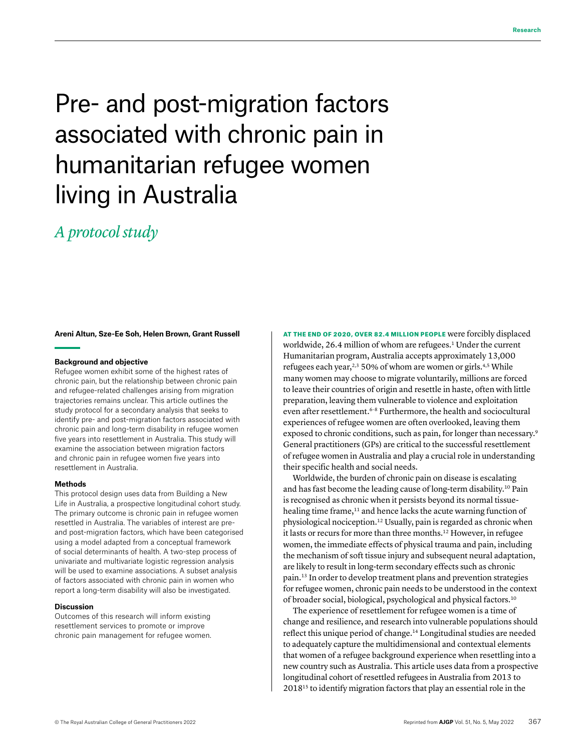# Pre- and post-migration factors associated with chronic pain in humanitarian refugee women living in Australia

# *A protocol study*

**Areni Altun, Sze-Ee Soh, Helen Brown, Grant Russell**

# **Background and objective**

Refugee women exhibit some of the highest rates of chronic pain, but the relationship between chronic pain and refugee-related challenges arising from migration trajectories remains unclear. This article outlines the study protocol for a secondary analysis that seeks to identify pre- and post-migration factors associated with chronic pain and long-term disability in refugee women five years into resettlement in Australia. This study will examine the association between migration factors and chronic pain in refugee women five years into resettlement in Australia.

#### **Methods**

This protocol design uses data from Building a New Life in Australia, a prospective longitudinal cohort study. The primary outcome is chronic pain in refugee women resettled in Australia. The variables of interest are preand post-migration factors, which have been categorised using a model adapted from a conceptual framework of social determinants of health. A two-step process of univariate and multivariate logistic regression analysis will be used to examine associations. A subset analysis of factors associated with chronic pain in women who report a long-term disability will also be investigated.

# **Discussion**

Outcomes of this research will inform existing resettlement services to promote or improve chronic pain management for refugee women. AT THE END OF 2020, OVER 82.4 MILLION PEOPLE were forcibly displaced worldwide, 26.4 million of whom are refugees.<sup>1</sup> Under the current Humanitarian program, Australia accepts approximately 13,000 refugees each year, $2,3$  50% of whom are women or girls. $4,5$  While many women may choose to migrate voluntarily, millions are forced to leave their countries of origin and resettle in haste, often with little preparation, leaving them vulnerable to violence and exploitation even after resettlement.<sup>6-8</sup> Furthermore, the health and sociocultural experiences of refugee women are often overlooked, leaving them exposed to chronic conditions, such as pain, for longer than necessary.<sup>9</sup> General practitioners (GPs) are critical to the successful resettlement of refugee women in Australia and play a crucial role in understanding their specific health and social needs.

Worldwide, the burden of chronic pain on disease is escalating and has fast become the leading cause of long-term disability.10 Pain is recognised as chronic when it persists beyond its normal tissuehealing time frame,<sup>11</sup> and hence lacks the acute warning function of physiological nociception.12 Usually, pain is regarded as chronic when it lasts or recurs for more than three months.<sup>12</sup> However, in refugee women, the immediate effects of physical trauma and pain, including the mechanism of soft tissue injury and subsequent neural adaptation, are likely to result in long-term secondary effects such as chronic pain.13 In order to develop treatment plans and prevention strategies for refugee women, chronic pain needs to be understood in the context of broader social, biological, psychological and physical factors.10

The experience of resettlement for refugee women is a time of change and resilience, and research into vulnerable populations should reflect this unique period of change.14 Longitudinal studies are needed to adequately capture the multidimensional and contextual elements that women of a refugee background experience when resettling into a new country such as Australia. This article uses data from a prospective longitudinal cohort of resettled refugees in Australia from 2013 to 201815 to identify migration factors that play an essential role in the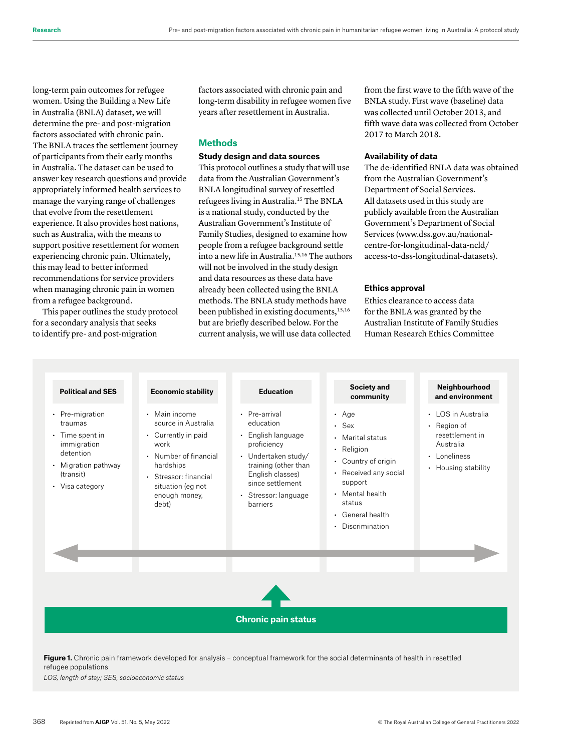long-term pain outcomes for refugee women. Using the Building a New Life in Australia (BNLA) dataset, we will determine the pre- and post-migration factors associated with chronic pain. The BNLA traces the settlement journey of participants from their early months in Australia. The dataset can be used to answer key research questions and provide appropriately informed health services to manage the varying range of challenges that evolve from the resettlement experience. It also provides host nations, such as Australia, with the means to support positive resettlement for women experiencing chronic pain. Ultimately, this may lead to better informed recommendations for service providers when managing chronic pain in women from a refugee background.

This paper outlines the study protocol for a secondary analysis that seeks to identify pre- and post-migration

factors associated with chronic pain and long-term disability in refugee women five years after resettlement in Australia.

# **Methods**

# **Study design and data sources**

This protocol outlines a study that will use data from the Australian Government's BNLA longitudinal survey of resettled refugees living in Australia.15 The BNLA is a national study, conducted by the Australian Government's Institute of Family Studies, designed to examine how people from a refugee background settle into a new life in Australia.<sup>15,16</sup> The authors will not be involved in the study design and data resources as these data have already been collected using the BNLA methods. The BNLA study methods have been published in existing documents,<sup>15,16</sup> but are briefly described below. For the current analysis, we will use data collected

from the first wave to the fifth wave of the BNLA study. First wave (baseline) data was collected until October 2013, and fifth wave data was collected from October 2017 to March 2018.

## **Availability of data**

The de-identified BNLA data was obtained from the Australian Government's Department of Social Services. All datasets used in this study are publicly available from the Australian Government's Department of Social Services [\(www.dss.gov.au/national](http://www.dss.gov.au/national-centre-for-longitudinal-data-ncld/access-to-dss-longitudinal-datasets)[centre-for-longitudinal-data-ncld/](http://www.dss.gov.au/national-centre-for-longitudinal-data-ncld/access-to-dss-longitudinal-datasets) [access-to-dss-longitudinal-datasets](http://www.dss.gov.au/national-centre-for-longitudinal-data-ncld/access-to-dss-longitudinal-datasets)).

# **Ethics approval**

Ethics clearance to access data for the BNLA was granted by the Australian Institute of Family Studies Human Research Ethics Committee

| <b>Political and SES</b>                                                                                                               | <b>Economic stability</b>                                                                                                                                                         | <b>Education</b>                                                                                                                                                                           | <b>Society and</b><br>community                                                                                                                                                              | Neighbourhood<br>and environment                                                                       |
|----------------------------------------------------------------------------------------------------------------------------------------|-----------------------------------------------------------------------------------------------------------------------------------------------------------------------------------|--------------------------------------------------------------------------------------------------------------------------------------------------------------------------------------------|----------------------------------------------------------------------------------------------------------------------------------------------------------------------------------------------|--------------------------------------------------------------------------------------------------------|
| • Pre-migration<br>traumas<br>$\cdot$ Time spent in<br>immigration<br>detention<br>• Migration pathway<br>(transit)<br>• Visa category | • Main income<br>source in Australia<br>• Currently in paid<br>work<br>• Number of financial<br>hardships<br>· Stressor: financial<br>situation (eg not<br>enough money,<br>debt) | • Pre-arrival<br>education<br>• English language<br>proficiency<br>• Undertaken study/<br>training (other than<br>English classes)<br>since settlement<br>· Stressor: language<br>barriers | $\cdot$ Age<br>$\cdot$ Sex<br>• Marital status<br>• Religion<br>• Country of origin<br>• Received any social<br>support<br>• Mental health<br>status<br>• General health<br>• Discrimination | • LOS in Australia<br>Region of<br>resettlement in<br>Australia<br>• Loneliness<br>• Housing stability |
|                                                                                                                                        |                                                                                                                                                                                   | <b>Chronic pain status</b>                                                                                                                                                                 |                                                                                                                                                                                              |                                                                                                        |

Figure 1. Chronic pain framework developed for analysis - conceptual framework for the social determinants of health in resettled refugee populations

*LOS, length of stay; SES, socioeconomic status*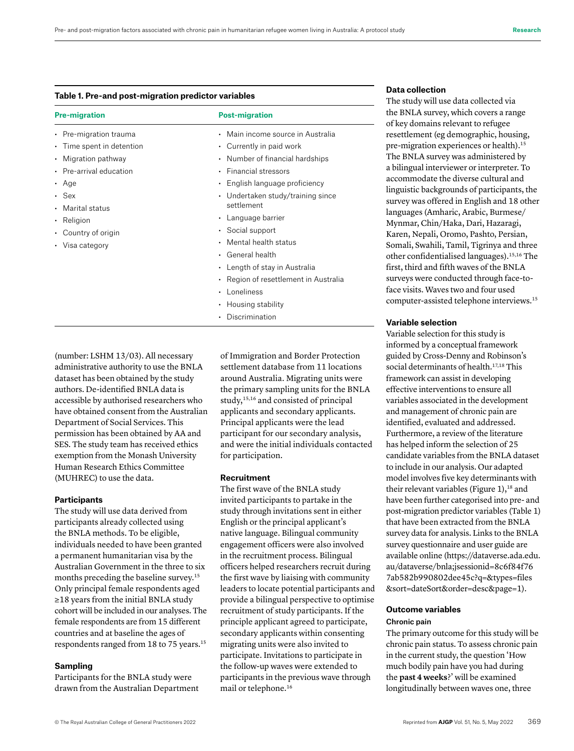#### **Table 1. Pre-and post-migration predictor variables**

| Main income source in Australia<br>Currently in paid work<br>• Number of financial hardships<br><b>Financial stressors</b><br>English language proficiency<br>Undertaken study/training since<br>settlement<br>Language barrier<br>Social support<br>Mental health status<br>• General health<br>• Length of stay in Australia<br>Region of resettlement in Australia<br>Loneliness<br>$\cdot$ Housing stability |
|------------------------------------------------------------------------------------------------------------------------------------------------------------------------------------------------------------------------------------------------------------------------------------------------------------------------------------------------------------------------------------------------------------------|
| Discrimination                                                                                                                                                                                                                                                                                                                                                                                                   |

(number: LSHM 13/03). All necessary administrative authority to use the BNLA dataset has been obtained by the study authors. De-identified BNLA data is accessible by authorised researchers who have obtained consent from the Australian Department of Social Services. This permission has been obtained by AA and SES. The study team has received ethics exemption from the Monash University Human Research Ethics Committee (MUHREC) to use the data.

#### **Participants**

The study will use data derived from participants already collected using the BNLA methods. To be eligible, individuals needed to have been granted a permanent humanitarian visa by the Australian Government in the three to six months preceding the baseline survey.15 Only principal female respondents aged ≥18 years from the initial BNLA study cohort will be included in our analyses. The female respondents are from 15 different countries and at baseline the ages of respondents ranged from 18 to 75 years.15

# **Sampling**

Participants for the BNLA study were drawn from the Australian Department of Immigration and Border Protection settlement database from 11 locations around Australia. Migrating units were the primary sampling units for the BNLA study,15,16 and consisted of principal applicants and secondary applicants. Principal applicants were the lead participant for our secondary analysis, and were the initial individuals contacted for participation.

# **Recruitment**

The first wave of the BNLA study invited participants to partake in the study through invitations sent in either English or the principal applicant's native language. Bilingual community engagement officers were also involved in the recruitment process. Bilingual officers helped researchers recruit during the first wave by liaising with community leaders to locate potential participants and provide a bilingual perspective to optimise recruitment of study participants. If the principle applicant agreed to participate, secondary applicants within consenting migrating units were also invited to participate. Invitations to participate in the follow-up waves were extended to participants in the previous wave through mail or telephone.16

#### **Data collection**

The study will use data collected via the BNLA survey, which covers a range of key domains relevant to refugee resettlement (eg demographic, housing, pre-migration experiences or health).15 The BNLA survey was administered by a bilingual interviewer or interpreter. To accommodate the diverse cultural and linguistic backgrounds of participants, the survey was offered in English and 18 other languages (Amharic, Arabic, Burmese/ Mynmar, Chin/Haka, Dari, Hazaragi, Karen, Nepali, Oromo, Pashto, Persian, Somali, Swahili, Tamil, Tigrinya and three other confidentialised languages).15,16 The first, third and fifth waves of the BNLA surveys were conducted through face-toface visits. Waves two and four used computer-assisted telephone interviews.15

#### **Variable selection**

Variable selection for this study is informed by a conceptual framework guided by Cross-Denny and Robinson's social determinants of health.<sup>17,18</sup> This framework can assist in developing effective interventions to ensure all variables associated in the development and management of chronic pain are identified, evaluated and addressed. Furthermore, a review of the literature has helped inform the selection of 25 candidate variables from the BNLA dataset to include in our analysis. Our adapted model involves five key determinants with their relevant variables (Figure  $1$ ),<sup>18</sup> and have been further categorised into pre- and post-migration predictor variables (Table 1) that have been extracted from the BNLA survey data for analysis. Links to the BNLA survey questionnaire and user guide are available online ([https://dataverse.ada.edu.](https://dataverse.ada.edu.au/dataverse/bnla;jsessionid=8c6f84f767ab582b990802dee45c?q=&types=files&sort=dateSort&order=desc&page=1) [au/dataverse/bnla;jsessionid=8c6f84f76](https://dataverse.ada.edu.au/dataverse/bnla;jsessionid=8c6f84f767ab582b990802dee45c?q=&types=files&sort=dateSort&order=desc&page=1)  [7ab582b990802dee45c?q=&types=files](https://dataverse.ada.edu.au/dataverse/bnla;jsessionid=8c6f84f767ab582b990802dee45c?q=&types=files&sort=dateSort&order=desc&page=1)  [&sort=dateSort&order=desc&page=1](https://dataverse.ada.edu.au/dataverse/bnla;jsessionid=8c6f84f767ab582b990802dee45c?q=&types=files&sort=dateSort&order=desc&page=1)).

# **Outcome variables** Chronic pain

The primary outcome for this study will be chronic pain status. To assess chronic pain in the current study, the question 'How much bodily pain have you had during the **past 4 weeks**?' will be examined longitudinally between waves one, three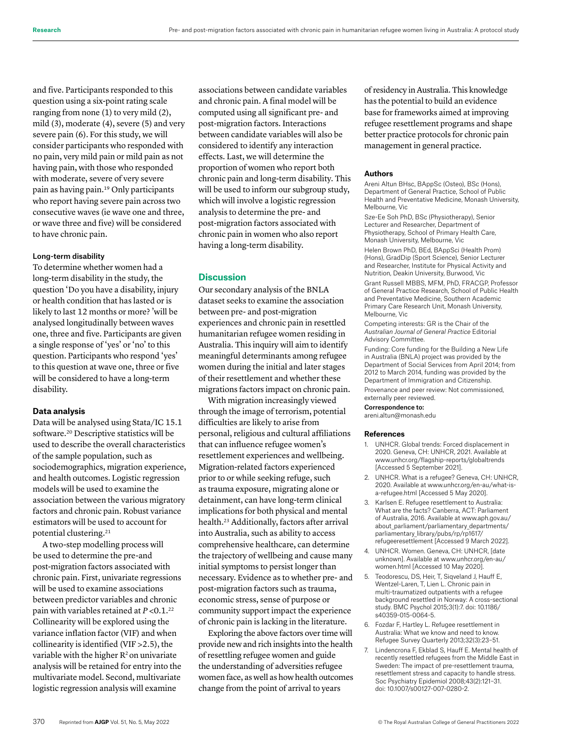and five. Participants responded to this question using a six-point rating scale ranging from none (1) to very mild (2), mild (3), moderate (4), severe (5) and very severe pain (6). For this study, we will consider participants who responded with no pain, very mild pain or mild pain as not having pain, with those who responded with moderate, severe of very severe pain as having pain.19 Only participants who report having severe pain across two consecutive waves (ie wave one and three, or wave three and five) will be considered to have chronic pain.

#### Long-term disability

To determine whether women had a long-term disability in the study, the question 'Do you have a disability, injury or health condition that has lasted or is likely to last 12 months or more? 'will be analysed longitudinally between waves one, three and five. Participants are given a single response of 'yes' or 'no' to this question. Participants who respond 'yes' to this question at wave one, three or five will be considered to have a long-term disability.

#### **Data analysis**

Data will be analysed using Stata/IC 15.1 software.20 Descriptive statistics will be used to describe the overall characteristics of the sample population, such as sociodemographics, migration experience, and health outcomes. Logistic regression models will be used to examine the association between the various migratory factors and chronic pain. Robust variance estimators will be used to account for potential clustering.21

A two-step modelling process will be used to determine the pre-and post-migration factors associated with chronic pain. First, univariate regressions will be used to examine associations between predictor variables and chronic pain with variables retained at *P* <0.1.22 Collinearity will be explored using the variance inflation factor (VIF) and when collinearity is identified (VIF >2.5), the variable with the higher  $R^2$  on univariate analysis will be retained for entry into the multivariate model. Second, multivariate logistic regression analysis will examine

associations between candidate variables and chronic pain. A final model will be computed using all significant pre- and post-migration factors. Interactions between candidate variables will also be considered to identify any interaction effects. Last, we will determine the proportion of women who report both chronic pain and long-term disability. This will be used to inform our subgroup study, which will involve a logistic regression analysis to determine the pre- and post-migration factors associated with chronic pain in women who also report having a long-term disability.

# **Discussion**

Our secondary analysis of the BNLA dataset seeks to examine the association between pre- and post-migration experiences and chronic pain in resettled humanitarian refugee women residing in Australia. This inquiry will aim to identify meaningful determinants among refugee women during the initial and later stages of their resettlement and whether these migrations factors impact on chronic pain.

With migration increasingly viewed through the image of terrorism, potential difficulties are likely to arise from personal, religious and cultural affiliations that can influence refugee women's resettlement experiences and wellbeing. Migration-related factors experienced prior to or while seeking refuge, such as trauma exposure, migrating alone or detainment, can have long-term clinical implications for both physical and mental health.23 Additionally, factors after arrival into Australia, such as ability to access comprehensive healthcare, can determine the trajectory of wellbeing and cause many initial symptoms to persist longer than necessary. Evidence as to whether pre- and post-migration factors such as trauma, economic stress, sense of purpose or community support impact the experience of chronic pain is lacking in the literature.

Exploring the above factors over time will provide new and rich insights into the health of resettling refugee women and guide the understanding of adversities refugee women face, as well as how health outcomes change from the point of arrival to years

of residency in Australia. This knowledge has the potential to build an evidence base for frameworks aimed at improving refugee resettlement programs and shape better practice protocols for chronic pain management in general practice.

## **Authors**

Areni Altun BHsc, BAppSc (Osteo), BSc (Hons), Department of General Practice, School of Public Health and Preventative Medicine, Monash University, Melbourne, Vic

Sze-Ee Soh PhD, BSc (Physiotherapy), Senior Lecturer and Researcher, Department of Physiotherapy, School of Primary Health Care, Monash University, Melbourne, Vic

Helen Brown PhD, BEd, BAppSci (Health Prom) (Hons), GradDip (Sport Science), Senior Lecturer and Researcher, Institute for Physical Activity and Nutrition, Deakin University, Burwood, Vic Grant Russell MBBS, MFM, PhD, FRACGP, Professor of General Practice Research, School of Public Health and Preventative Medicine, Southern Academic Primary Care Research Unit, Monash University, Melbourne, Vic

Competing interests: GR is the Chair of the *Australian Journal of General Practice* Editorial Advisory Committee.

Funding: Core funding for the Building a New Life in Australia (BNLA) project was provided by the Department of Social Services from April 2014; from 2012 to March 2014, funding was provided by the Department of Immigration and Citizenship. Provenance and peer review: Not commissioned, externally peer reviewed.

Correspondence to: areni.altun@monash.edu

#### **References**

- 1. UNHCR. Global trends: Forced displacement in 2020. Geneva, CH: UNHCR, 2021. Available at www.unhcr.org/flagship-reports/globaltrends [Accessed 5 September 2021].
- 2. UNHCR. What is a refugee? Geneva, CH: UNHCR, 2020. Available at www.unhcr.org/en-au/what-isa-refugee.html [Accessed 5 May 2020].
- 3. Karlsen E. Refugee resettlement to Australia: What are the facts? Canberra, ACT: Parliament of Australia, 2016. Available at [www.aph.gov.au/](http://www.aph.gov.au/about_parliament/parliamentary_departments/parliamentary_library/pubs/rp/rp1617/refugeeresettlement%20%5b9) [about\\_parliament/parliamentary\\_departments/](http://www.aph.gov.au/about_parliament/parliamentary_departments/parliamentary_library/pubs/rp/rp1617/refugeeresettlement%20%5b9) [parliamentary\\_library/pubs/rp/rp1617/](http://www.aph.gov.au/about_parliament/parliamentary_departments/parliamentary_library/pubs/rp/rp1617/refugeeresettlement%20%5b9) [refugeeresettlement \[](http://www.aph.gov.au/about_parliament/parliamentary_departments/parliamentary_library/pubs/rp/rp1617/refugeeresettlement%20%5b9)Accessed 9 March 2022].
- 4. UNHCR. Women. Geneva, CH: UNHCR, [date unknown]. Available at www.unhcr.org/en-au/ women.html [Accessed 10 May 2020].
- 5. Teodorescu, DS, Heir, T, Siqveland J, Hauff E, Wentzel-Laren, T, Lien L. Chronic pain in multi-traumatized outpatients with a refugee background resettled in Norway: A cross-sectional study. BMC Psychol 2015;3(1):7. doi: 10.1186/ s40359-015-0064-5.
- 6. Fozdar F, Hartley L. Refugee resettlement in Australia: What we know and need to know. Refugee Survey Quarterly 2013;32(3):23–51.
- 7. Lindencrona F, Ekblad S, Hauff E. Mental health of recently resettled refugees from the Middle East in Sweden: The impact of pre-resettlement trauma, resettlement stress and capacity to handle stress. Soc Psychiatry Epidemiol 2008;43(2):121–31. doi: 10.1007/s00127-007-0280-2.